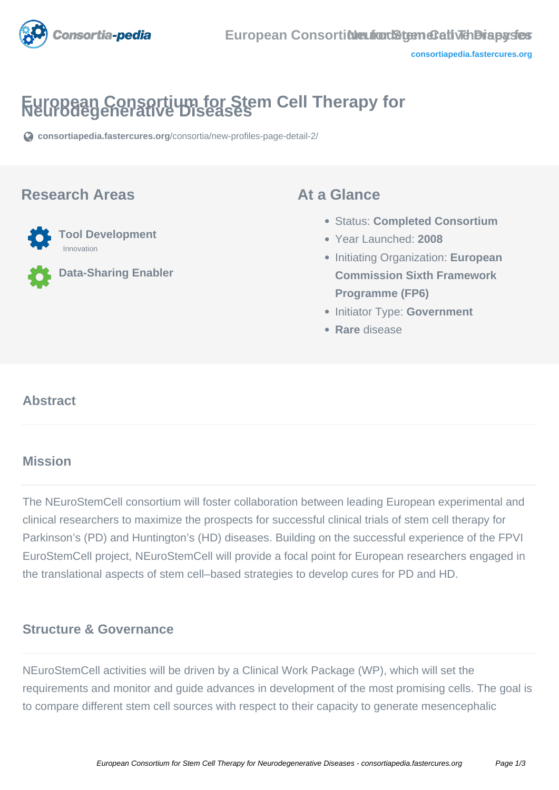

# **European Consortium for Stem Cell Therapy for Neurodegenerative Diseases**

**[consortiapedia.fastercures.org](https://consortiapedia.fastercures.org/consortia/new-profiles-page-detail-2/)**[/consortia/new-profiles-page-detail-2/](https://consortiapedia.fastercures.org/consortia/new-profiles-page-detail-2/)

### **Research Areas**



**Data-Sharing Enabler**

### **At a Glance**

- Status: **Completed Consortium**
- Year Launched: **2008**
- Initiating Organization: **European Commission Sixth Framework Programme (FP6)**
- **Initiator Type: Government**
- **Rare** disease

#### $\overline{a}$ **Abstract**

# **Mission**

The NEuroStemCell consortium will foster collaboration between leading European experimental and clinical researchers to maximize the prospects for successful clinical trials of stem cell therapy for Parkinson's (PD) and Huntington's (HD) diseases. Building on the successful experience of the FPVI EuroStemCell project, NEuroStemCell will provide a focal point for European researchers engaged in the translational aspects of stem cell–based strategies to develop cures for PD and HD.

### **Structure & Governance**

NEuroStemCell activities will be driven by a Clinical Work Package (WP), which will set the requirements and monitor and guide advances in development of the most promising cells. The goal is to compare different stem cell sources with respect to their capacity to generate mesencephalic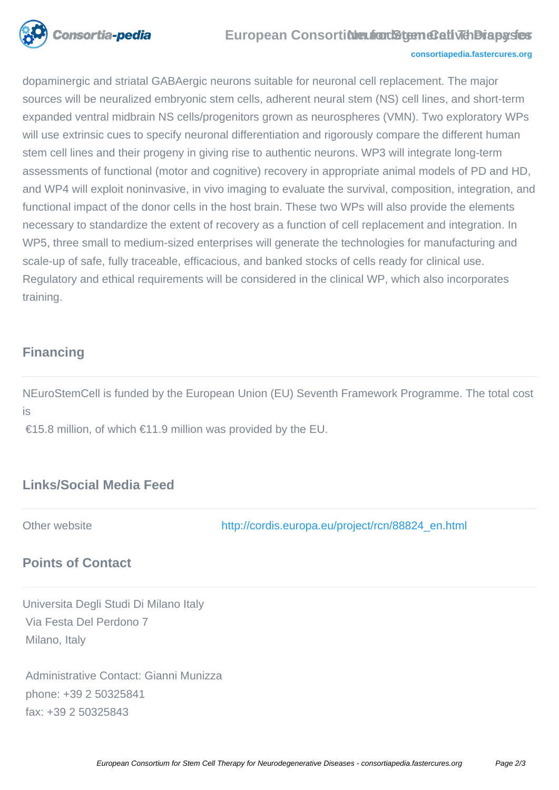

#### **European Consortidieufron Stem Cell The Dispases**

#### **[consortiapedia.fastercures.org](http://consortiapedia.fastercures.org/)**

dopaminergic and striatal GABAergic neurons suitable for neuronal cell replacement. The major sources will be neuralized embryonic stem cells, adherent neural stem (NS) cell lines, and short-term expanded ventral midbrain NS cells/progenitors grown as neurospheres (VMN). Two exploratory WPs will use extrinsic cues to specify neuronal differentiation and rigorously compare the different human stem cell lines and their progeny in giving rise to authentic neurons. WP3 will integrate long-term assessments of functional (motor and cognitive) recovery in appropriate animal models of PD and HD, and WP4 will exploit noninvasive, in vivo imaging to evaluate the survival, composition, integration, and functional impact of the donor cells in the host brain. These two WPs will also provide the elements necessary to standardize the extent of recovery as a function of cell replacement and integration. In WP5, three small to medium-sized enterprises will generate the technologies for manufacturing and scale-up of safe, fully traceable, efficacious, and banked stocks of cells ready for clinical use. Regulatory and ethical requirements will be considered in the clinical WP, which also incorporates training.

### **Financing**

NEuroStemCell is funded by the European Union (EU) Seventh Framework Programme. The total cost is

€15.8 million, of which €11.9 million was provided by the EU.

# **Links/Social Media Feed**

Other website [http://cordis.europa.eu/project/rcn/88824\\_en.html](http://cordis.europa.eu/project/rcn/88824_en.html)

# **Points of Contact**

Universita Degli Studi Di Milano Italy Via Festa Del Perdono 7 Milano, Italy

 Administrative Contact: Gianni Munizza phone: +39 2 50325841 fax: +39 2 50325843